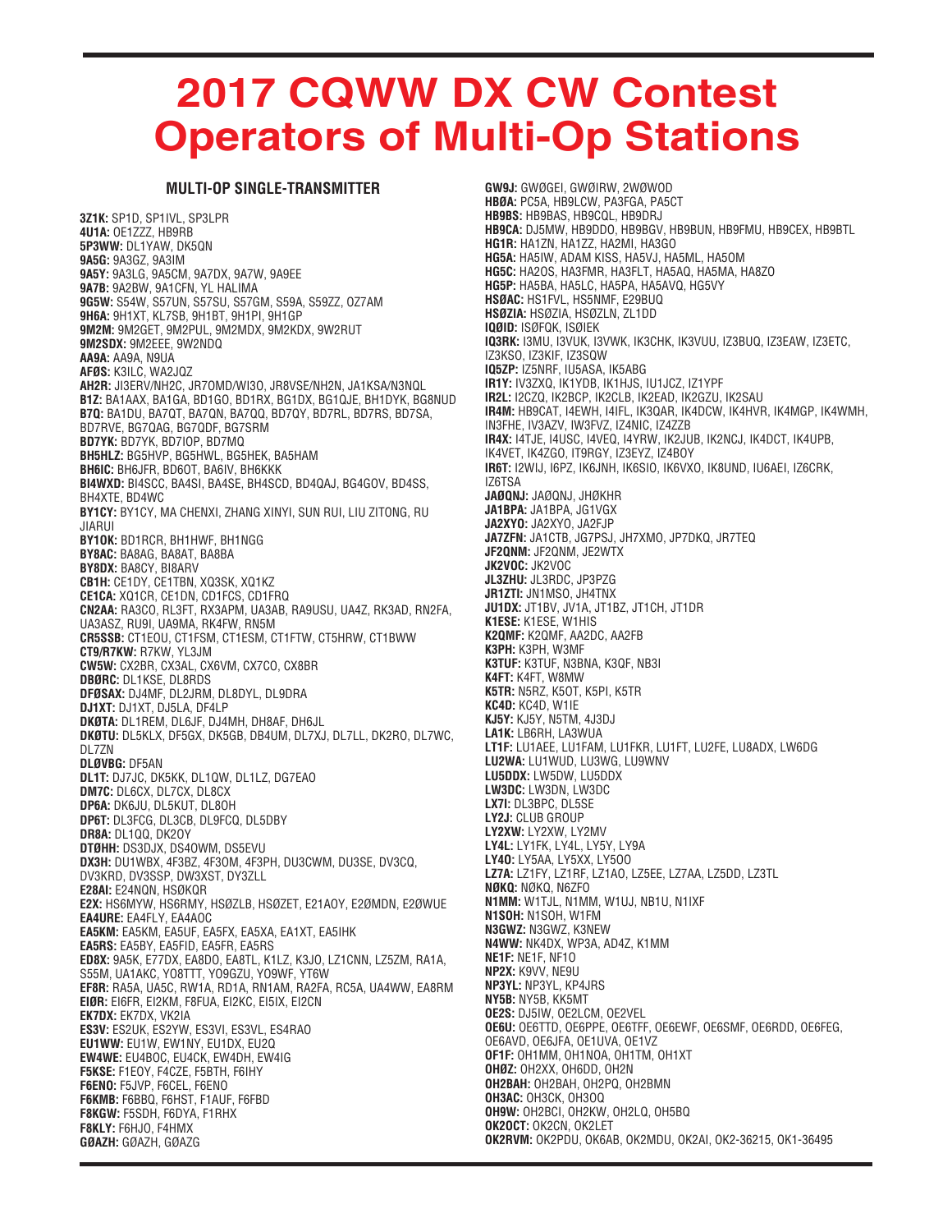## **2017 CQWW DX CW Contest Operators of Multi-Op Stations**

## **MULTI-OP SINGLE-TRANSMITTER**

**3Z1K:** SP1D, SP1IVL, SP3LPR **4U1A:** OE1ZZZ, HB9RB **5P3WW:** DL1YAW, DK5QN **9A5G:** 9A3GZ, 9A3IM **9A5Y:** 9A3LG, 9A5CM, 9A7DX, 9A7W, 9A9EE **9A7B:** 9A2BW, 9A1CFN, YL HALIMA **9G5W:** S54W, S57UN, S57SU, S57GM, S59A, S59ZZ, OZ7AM **9H6A:** 9H1XT, KL7SB, 9H1BT, 9H1PI, 9H1GP **9M2M:** 9M2GET, 9M2PUL, 9M2MDX, 9M2KDX, 9W2RUT **9M2SDX:** 9M2EEE, 9W2NDQ **AA9A:** AA9A, N9UA **AFØS:** K3ILC, WA2JQZ **AH2R:** JI3ERV/NH2C, JR7OMD/WI3O, JR8VSE/NH2N, JA1KSA/N3NQL **B1Z:** BA1AAX, BA1GA, BD1GO, BD1RX, BG1DX, BG1QJE, BH1DYK, BG8NUD **B7Q:** BA1DU, BA7QT, BA7QN, BA7QQ, BD7QY, BD7RL, BD7RS, BD7SA, BD7RVE, BG7QAG, BG7QDF, BG7SRM **BD7YK:** BD7YK, BD7IOP, BD7MQ **BH5HLZ:** BG5HVP, BG5HWL, BG5HEK, BA5HAM **BH6IC:** BH6JFR, BD6OT, BA6IV, BH6KKK **BI4WXD:** BI4SCC, BA4SI, BA4SE, BH4SCD, BD4QAJ, BG4GOV, BD4SS, BH4XTE, BD4WC **BY1CY:** BY1CY, MA CHENXI, ZHANG XINYI, SUN RUI, LIU ZITONG, RU JIARUI **BY1OK:** BD1RCR, BH1HWF, BH1NGG **BY8AC:** BA8AG, BA8AT, BA8BA **BY8DX:** BA8CY, BI8ARV **CB1H:** CE1DY, CE1TBN, XQ3SK, XQ1KZ **CE1CA:** XQ1CR, CE1DN, CD1FCS, CD1FRQ **CN2AA:** RA3CO, RL3FT, RX3APM, UA3AB, RA9USU, UA4Z, RK3AD, RN2FA, UA3ASZ, RU9I, UA9MA, RK4FW, RN5M **CR5SSB:** CT1EOU, CT1FSM, CT1ESM, CT1FTW, CT5HRW, CT1BWW **CT9/R7KW:** R7KW, YL3JM **CW5W:** CX2BR, CX3AL, CX6VM, CX7CO, CX8BR **DBØRC:** DL1KSE, DL8RDS **DFØSAX:** DJ4MF, DL2JRM, DL8DYL, DL9DRA **DJ1XT:** DJ1XT, DJ5LA, DF4LP **DKØTA:** DL1REM, DL6JF, DJ4MH, DH8AF, DH6JL **DKØTU:** DL5KLX, DF5GX, DK5GB, DB4UM, DL7XJ, DL7LL, DK2RO, DL7WC, DL7ZN **DLØVBG:** DF5AN **DL1T:** DJ7JC, DK5KK, DL1QW, DL1LZ, DG7EAO **DM7C:** DL6CX, DL7CX, DL8CX **DP6A:** DK6JU, DL5KUT, DL8OH **DP6T:** DL3FCG, DL3CB, DL9FCQ, DL5DBY **DR8A:** DL1QQ, DK2OY **DTØHH:** DS3DJX, DS4OWM, DS5EVU **DX3H:** DU1WBX, 4F3BZ, 4F3OM, 4F3PH, DU3CWM, DU3SE, DV3CQ, DV3KRD, DV3SSP, DW3XST, DY3ZLL **E28AI:** E24NQN, HSØKQR **E2X:** HS6MYW, HS6RMY, HSØZLB, HSØZET, E21AOY, E2ØMDN, E2ØWUE **EA4URE:** EA4FLY, EA4AOC **EA5KM:** EA5KM, EA5UF, EA5FX, EA5XA, EA1XT, EA5IHK **EA5RS:** EA5BY, EA5FID, EA5FR, EA5RS **ED8X:** 9A5K, E77DX, EA8DO, EA8TL, K1LZ, K3JO, LZ1CNN, LZ5ZM, RA1A, S55M, UA1AKC, YO8TTT, YO9GZU, YO9WF, YT6W **EF8R:** RA5A, UA5C, RW1A, RD1A, RN1AM, RA2FA, RC5A, UA4WW, EA8RM **EIØR:** EI6FR, EI2KM, F8FUA, EI2KC, EI5IX, EI2CN **EK7DX:** EK7DX, VK2IA **ES3V:** ES2UK, ES2YW, ES3VI, ES3VL, ES4RAO **EU1WW:** EU1W, EW1NY, EU1DX, EU2Q **EW4WE:** EU4BOC, EU4CK, EW4DH, EW4IG **F5KSE:** F1EOY, F4CZE, F5BTH, F6IHY **F6ENO:** F5JVP, F6CEL, F6ENO **F6KMB:** F6BBQ, F6HST, F1AUF, F6FBD **F8KGW:** F5SDH, F6DYA, F1RHX **F8KLY:** F6HJO, F4HMX **GØAZH:** GØAZH, GØAZG

**GW9J:** GWØGEI, GWØIRW, 2WØWOD **HBØA:** PC5A, HB9LCW, PA3FGA, PA5CT **HB9BS:** HB9BAS, HB9CQL, HB9DRJ **HB9CA:** DJ5MW, HB9DDO, HB9BGV, HB9BUN, HB9FMU, HB9CEX, HB9BTL **HG1R:** HA1ZN, HA1ZZ, HA2MI, HA3GO **HG5A:** HA5IW, ADAM KISS, HA5VJ, HA5ML, HA5OM **HG5C:** HA2OS, HA3FMR, HA3FLT, HA5AQ, HA5MA, HA8ZO **HG5P:** HA5BA, HA5LC, HA5PA, HA5AVQ, HG5VY **HSØAC:** HS1FVL, HS5NMF, E29BUQ **HSØZIA:** HSØZIA, HSØZLN, ZL1DD **IQØID:** ISØFQK, ISØIEK **IQ3RK:** I3MU, I3VUK, I3VWK, IK3CHK, IK3VUU, IZ3BUQ, IZ3EAW, IZ3ETC, IZ3KSO, IZ3KIF, IZ3SQW **IQ5ZP:** IZ5NRF, IU5ASA, IK5ABG **IR1Y:** IV3ZXQ, IK1YDB, IK1HJS, IU1JCZ, IZ1YPF **IR2L:** I2CZQ, IK2BCP, IK2CLB, IK2EAD, IK2GZU, IK2SAU **IR4M:** HB9CAT, I4EWH, I4IFL, IK3QAR, IK4DCW, IK4HVR, IK4MGP, IK4WMH, IN3FHE, IV3AZV, IW3FVZ, IZ4NIC, IZ4ZZB **IR4X:** I4TJE, I4USC, I4VEQ, I4YRW, IK2JUB, IK2NCJ, IK4DCT, IK4UPB, IK4VET, IK4ZGO, IT9RGY, IZ3EYZ, IZ4BOY **IR6T:** I2WIJ, I6PZ, IK6JNH, IK6SIO, IK6VXO, IK8UND, IU6AEI, IZ6CRK, IZ6TSA **JAØQNJ:** JAØQNJ, JHØKHR **JA1BPA:** JA1BPA, JG1VGX **JA2XYO:** JA2XYO, JA2FJP **JA7ZFN:** JA1CTB, JG7PSJ, JH7XMO, JP7DKQ, JR7TEQ **JF2QNM:** JF2QNM, JE2WTX **JK2VOC:** JK2VOC **JL3ZHU:** JL3RDC, JP3PZG **JR1ZTI:** JN1MSO, JH4TNX **JU1DX:** JT1BV, JV1A, JT1BZ, JT1CH, JT1DR **K1ESE:** K1ESE, W1HIS **K2QMF:** K2QMF, AA2DC, AA2FB **K3PH:** K3PH, W3MF **K3TUF:** K3TUF, N3BNA, K3QF, NB3I **K4FT:** K4FT, W8MW **K5TR:** N5RZ, K5OT, K5PI, K5TR **KC4D:** KC4D, W1IE **KJ5Y:** KJ5Y, N5TM, 4J3DJ **LA1K:** LB6RH, LA3WUA **LT1F:** LU1AEE, LU1FAM, LU1FKR, LU1FT, LU2FE, LU8ADX, LW6DG **LU2WA:** LU1WUD, LU3WG, LU9WNV **LU5DDX:** LW5DW, LU5DDX **LW3DC:** LW3DN, LW3DC **LX7I:** DL3BPC, DL5SE **LY2J:** CLUB GROUP **LY2XW:** LY2XW, LY2MV **LY4L:** LY1FK, LY4L, LY5Y, LY9A **LY4O:** LY5AA, LY5XX, LY5OO **LZ7A:** LZ1FY, LZ1RF, LZ1AO, LZ5EE, LZ7AA, LZ5DD, LZ3TL **NØKQ:** NØKQ, N6ZFO **N1MM:** W1TJL, N1MM, W1UJ, NB1U, N1IXF **N1SOH:** N1SOH, W1FM **N3GWZ:** N3GWZ, K3NEW **N4WW:** NK4DX, WP3A, AD4Z, K1MM **NE1F:** NE1F, NF1O **NP2X:** K9VV, NE9U **NP3YL:** NP3YL, KP4JRS **NY5B:** NY5B, KK5MT **OE2S:** DJ5IW, OE2LCM, OE2VEL **OE6U:** OE6TTD, OE6PPE, OE6TFF, OE6EWF, OE6SMF, OE6RDD, OE6FEG, OE6AVD, OE6JFA, OE1UVA, OE1VZ **OF1F:** OH1MM, OH1NOA, OH1TM, OH1XT **OHØZ:** OH2XX, OH6DD, OH2N **OH2BAH:** OH2BAH, OH2PQ, OH2BMN **OH3AC:** OH3CK, OH3OQ **OH9W:** OH2BCI, OH2KW, OH2LQ, OH5BQ **OK2OCT:** OK2CN, OK2LET **OK2RVM:** OK2PDU, OK6AB, OK2MDU, OK2AI, OK2-36215, OK1-36495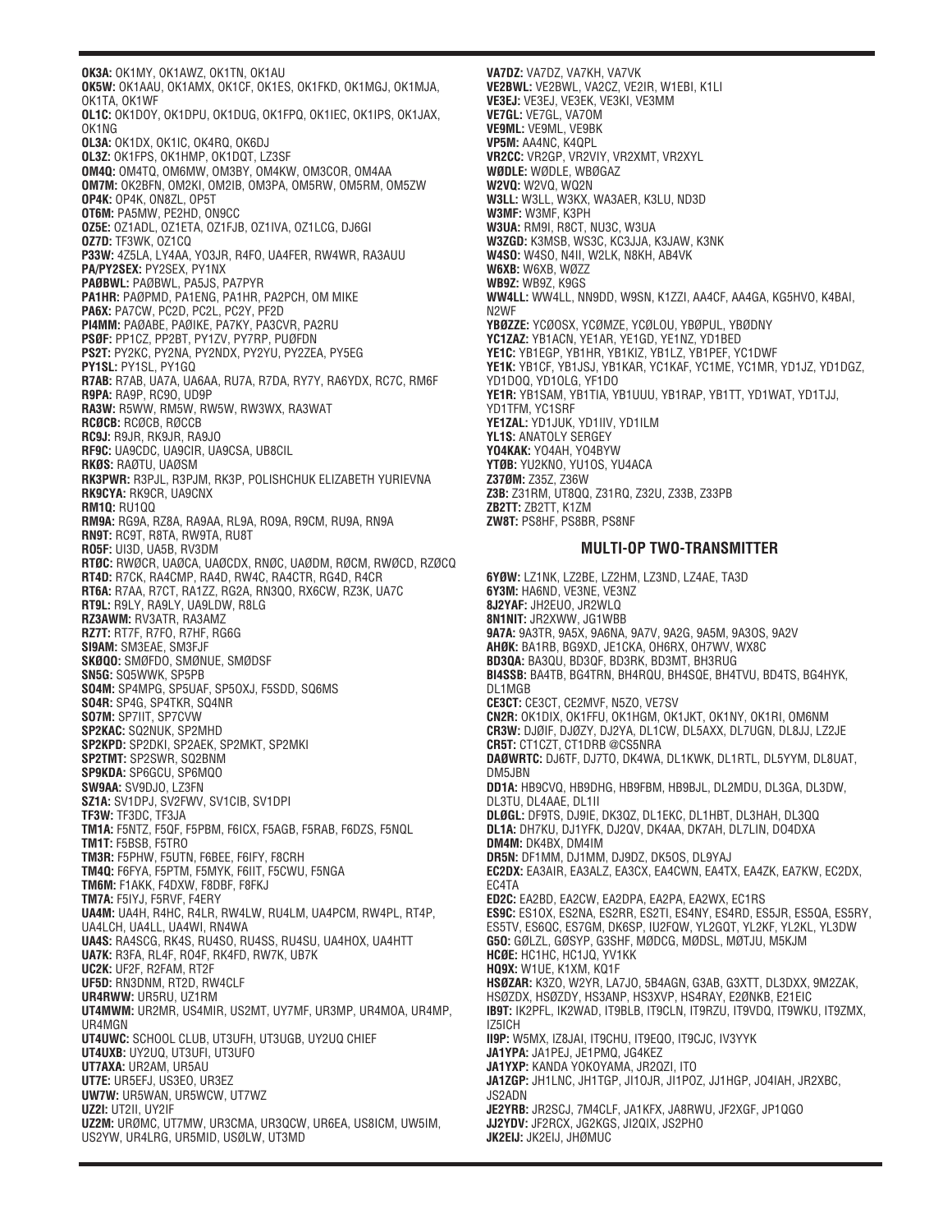**OK3A:** OK1MY, OK1AWZ, OK1TN, OK1AU **OK5W:** OK1AAU, OK1AMX, OK1CF, OK1ES, OK1FKD, OK1MGJ, OK1MJA, OK1TA, OK1WF **OL1C:** OK1DOY, OK1DPU, OK1DUG, OK1FPQ, OK1IEC, OK1IPS, OK1JAX, OK1NG **OL3A:** OK1DX, OK1IC, OK4RQ, OK6DJ **OL3Z:** OK1FPS, OK1HMP, OK1DQT, LZ3SF **OM4Q:** OM4TQ, OM6MW, OM3BY, OM4KW, OM3COR, OM4AA **OM7M:** OK2BFN, OM2KI, OM2IB, OM3PA, OM5RW, OM5RM, OM5ZW **OP4K:** OP4K, ON8ZL, OP5T **OT6M:** PA5MW, PE2HD, ON9CC **OZ5E:** OZ1ADL, OZ1ETA, OZ1FJB, OZ1IVA, OZ1LCG, DJ6GI **OZ7D:** TF3WK, OZ1CQ **P33W:** 4Z5LA, LY4AA, YO3JR, R4FO, UA4FER, RW4WR, RA3AUU **PA/PY2SEX:** PY2SEX, PY1NX **PAØBWL:** PAØBWL, PA5JS, PA7PYR **PA1HR:** PAØPMD, PA1ENG, PA1HR, PA2PCH, OM MIKE **PA6X:** PA7CW, PC2D, PC2L, PC2Y, PF2D **PI4MM:** PAØABE, PAØIKE, PA7KY, PA3CVR, PA2RU **PSØF:** PP1CZ, PP2BT, PY1ZV, PY7RP, PUØFDN **PS2T:** PY2KC, PY2NA, PY2NDX, PY2YU, PY2ZEA, PY5EG **PY1SL:** PY1SL, PY1GQ **R7AB:** R7AB, UA7A, UA6AA, RU7A, R7DA, RY7Y, RA6YDX, RC7C, RM6F **R9PA:** RA9P, RC9O, UD9P **RA3W:** R5WW, RM5W, RW5W, RW3WX, RA3WAT **RCØCB:** RCØCB, RØCCB **RC9J:** R9JR, RK9JR, RA9JO **RF9C:** UA9CDC, UA9CIR, UA9CSA, UB8CIL **RKØS:** RAØTU, UAØSM **RK3PWR:** R3PJL, R3PJM, RK3P, POLISHCHUK ELIZABETH YURIEVNA **RK9CYA:** RK9CR, UA9CNX **RM1Q:** RU1QQ **RM9A:** RG9A, RZ8A, RA9AA, RL9A, RO9A, R9CM, RU9A, RN9A **RN9T:** RC9T, R8TA, RW9TA, RU8T **RO5F:** UI3D, UA5B, RV3DM **RTØC:** RWØCR, UAØCA, UAØCDX, RNØC, UAØDM, RØCM, RWØCD, RZØCQ **RT4D:** R7CK, RA4CMP, RA4D, RW4C, RA4CTR, RG4D, R4CR **RT6A:** R7AA, R7CT, RA1ZZ, RG2A, RN3QO, RX6CW, RZ3K, UA7C **RT9L:** R9LY, RA9LY, UA9LDW, R8LG **RZ3AWM:** RV3ATR, RA3AMZ **RZ7T:** RT7F, R7FO, R7HF, RG6G **SI9AM:** SM3EAE, SM3FJF **SKØQO:** SMØFDO, SMØNUE, SMØDSF **SN5G:** SQ5WWK, SP5PB **SO4M:** SP4MPG, SP5UAF, SP5OXJ, F5SDD, SQ6MS **SO4R:** SP4G, SP4TKR, SQ4NR **SO7M:** SP7IIT, SP7CVW **SP2KAC:** SQ2NUK, SP2MHD **SP2KPD:** SP2DKI, SP2AEK, SP2MKT, SP2MKI **SP2TMT:** SP2SWR, SQ2BNM **SP9KDA:** SP6GCU, SP6MQO **SW9AA:** SV9DJO, LZ3FN **SZ1A:** SV1DPJ, SV2FWV, SV1CIB, SV1DPI **TF3W:** TF3DC, TF3JA **TM1A:** F5NTZ, F5QF, F5PBM, F6ICX, F5AGB, F5RAB, F6DZS, F5NQL **TM1T:** F5BSB, F5TRO **TM3R:** F5PHW, F5UTN, F6BEE, F6IFY, F8CRH **TM4Q:** F6FYA, F5PTM, F5MYK, F6IIT, F5CWU, F5NGA **TM6M:** F1AKK, F4DXW, F8DBF, F8FKJ **TM7A:** F5IYJ, F5RVF, F4ERY **UA4M:** UA4H, R4HC, R4LR, RW4LW, RU4LM, UA4PCM, RW4PL, RT4P, UA4LCH, UA4LL, UA4WI, RN4WA **UA4S:** RA4SCG, RK4S, RU4SO, RU4SS, RU4SU, UA4HOX, UA4HTT **UA7K:** R3FA, RL4F, RO4F, RK4FD, RW7K, UB7K **UC2K:** UF2F, R2FAM, RT2F **UF5D:** RN3DNM, RT2D, RW4CLF **UR4RWW:** UR5RU, UZ1RM **UT4MWM:** UR2MR, US4MIR, US2MT, UY7MF, UR3MP, UR4MOA, UR4MP, UR4MGN **UT4UWC:** SCHOOL CLUB, UT3UFH, UT3UGB, UY2UQ CHIEF **UT4UXB:** UY2UQ, UT3UFI, UT3UFO **UT7AXA:** UR2AM, UR5AU **UT7E:** UR5EFJ, US3EO, UR3EZ **UW7W:** UR5WAN, UR5WCW, UT7WZ **UZ2I:** UT2II, UY2IF **UZ2M:** URØMC, UT7MW, UR3CMA, UR3QCW, UR6EA, US8ICM, UW5IM, US2YW, UR4LRG, UR5MID, USØLW, UT3MD

**VA7DZ:** VA7DZ, VA7KH, VA7VK **VE2BWL:** VE2BWL, VA2CZ, VE2IR, W1EBI, K1LI **VE3EJ:** VE3EJ, VE3EK, VE3KI, VE3MM **VE7GL:** VE7GL, VA7OM **VE9ML:** VE9ML, VE9BK **VP5M:** AA4NC, K4QPL **VR2CC:** VR2GP, VR2VIY, VR2XMT, VR2XYL **WØDLE:** WØDLE, WBØGAZ **W2VQ:** W2VQ, WQ2N **W3LL:** W3LL, W3KX, WA3AER, K3LU, ND3D **W3MF:** W3MF, K3PH **W3UA:** RM9I, R8CT, NU3C, W3UA **W3ZGD:** K3MSB, WS3C, KC3JJA, K3JAW, K3NK **W4SO:** W4SO, N4II, W2LK, N8KH, AB4VK **W6XB:** W6XB, WØZZ **WB9Z:** WB9Z, K9GS **WW4LL:** WW4LL, NN9DD, W9SN, K1ZZI, AA4CF, AA4GA, KG5HVO, K4BAI, N2WF **YBØZZE:** YCØOSX, YCØMZE, YCØLOU, YBØPUL, YBØDNY **YC1ZAZ:** YB1ACN, YE1AR, YE1GD, YE1NZ, YD1BED **YE1C:** YB1EGP, YB1HR, YB1KIZ, YB1LZ, YB1PEF, YC1DWF **YE1K:** YB1CF, YB1JSJ, YB1KAR, YC1KAF, YC1ME, YC1MR, YD1JZ, YD1DGZ, YD1DOQ, YD1OLG, YF1DO **YE1R:** YB1SAM, YB1TIA, YB1UUU, YB1RAP, YB1TT, YD1WAT, YD1TJJ, YD1TFM, YC1SRF **YE1ZAL:** YD1JUK, YD1IIV, YD1ILM **YL1S:** ANATOLY SERGEY **YO4KAK:** YO4AH, YO4BYW **YTØB:** YU2KNO, YU1OS, YU4ACA **Z37ØM:** Z35Z, Z36W **Z3B:** Z31RM, UT8QQ, Z31RQ, Z32U, Z33B, Z33PB **ZB2TT:** ZB2TT, K1ZM **ZW8T:** PS8HF, PS8BR, PS8NF

## **MULTI-OP TWO-TRANSMITTER**

**6YØW:** LZ1NK, LZ2BE, LZ2HM, LZ3ND, LZ4AE, TA3D **6Y3M:** HA6ND, VE3NE, VE3NZ **8J2YAF:** JH2EUO, JR2WLQ **8N1NIT:** JR2XWW, JG1WBB **9A7A:** 9A3TR, 9A5X, 9A6NA, 9A7V, 9A2G, 9A5M, 9A3OS, 9A2V **AHØK:** BA1RB, BG9XD, JE1CKA, OH6RX, OH7WV, WX8C **BD3QA:** BA3QU, BD3QF, BD3RK, BD3MT, BH3RUG **BI4SSB:** BA4TB, BG4TRN, BH4RQU, BH4SQE, BH4TVU, BD4TS, BG4HYK, DL1MGB **CE3CT:** CE3CT, CE2MVF, N5ZO, VE7SV **CN2R:** OK1DIX, OK1FFU, OK1HGM, OK1JKT, OK1NY, OK1RI, OM6NM **CR3W:** DJØIF, DJØZY, DJ2YA, DL1CW, DL5AXX, DL7UGN, DL8JJ, LZ2JE **CR5T:** CT1CZT, CT1DRB @CS5NRA **DAØWRTC:** DJ6TF, DJ7TO, DK4WA, DL1KWK, DL1RTL, DL5YYM, DL8UAT, DM5JBN **DD1A:** HB9CVQ, HB9DHG, HB9FBM, HB9BJL, DL2MDU, DL3GA, DL3DW, DL3TU, DL4AAE, DL1II **DLØGL:** DF9TS, DJ9IE, DK3QZ, DL1EKC, DL1HBT, DL3HAH, DL3QQ **DL1A:** DH7KU, DJ1YFK, DJ2QV, DK4AA, DK7AH, DL7LIN, DO4DXA **DM4M:** DK4BX, DM4IM **DR5N:** DF1MM, DJ1MM, DJ9DZ, DK5OS, DL9YAJ **EC2DX:** EA3AIR, EA3ALZ, EA3CX, EA4CWN, EA4TX, EA4ZK, EA7KW, EC2DX, EC4TA **ED2C:** EA2BD, EA2CW, EA2DPA, EA2PA, EA2WX, EC1RS **ES9C:** ES1OX, ES2NA, ES2RR, ES2TI, ES4NY, ES4RD, ES5JR, ES5QA, ES5RY, ES5TV, ES6QC, ES7GM, DK6SP, IU2FQW, YL2GQT, YL2KF, YL2KL, YL3DW **G5O:** GØLZL, GØSYP, G3SHF, MØDCG, MØDSL, MØTJU, M5KJM **HCØE:** HC1HC, HC1JQ, YV1KK **HQ9X:** W1UE, K1XM, KQ1F **HSØZAR:** K3ZO, W2YR, LA7JO, 5B4AGN, G3AB, G3XTT, DL3DXX, 9M2ZAK, HSØZDX, HSØZDY, HS3ANP, HS3XVP, HS4RAY, E2ØNKB, E21EIC **IB9T:** IK2PFL, IK2WAD, IT9BLB, IT9CLN, IT9RZU, IT9VDQ, IT9WKU, IT9ZMX, IZ5ICH **II9P:** W5MX, IZ8JAI, IT9CHU, IT9EQO, IT9CJC, IV3YYK **JA1YPA:** JA1PEJ, JE1PMQ, JG4KEZ **JA1YXP:** KANDA YOKOYAMA, JR2QZI, ITO **JA1ZGP:** JH1LNC, JH1TGP, JI1OJR, JI1POZ, JJ1HGP, JO4IAH, JR2XBC, JS2ADN **JE2YRB:** JR2SCJ, 7M4CLF, JA1KFX, JA8RWU, JF2XGF, JP1QGO **JJ2YDV:** JF2RCX, JG2KGS, JI2QIX, JS2PHO **JK2EIJ:** JK2EIJ, JHØMUC